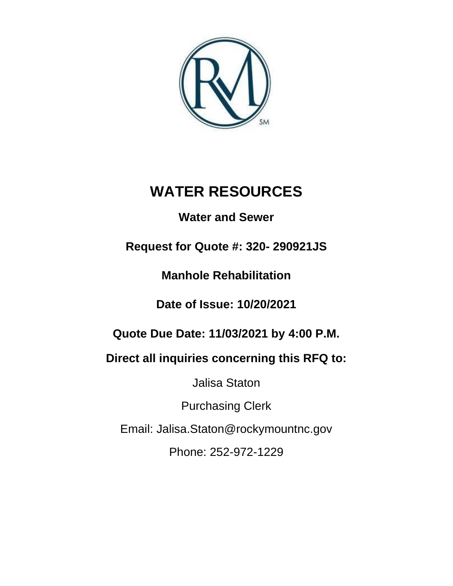

# **WATER RESOURCES**

# **Water and Sewer**

# **Request for Quote #: 320- 290921JS**

**Manhole Rehabilitation**

# **Date of Issue: 10/20/2021**

# **Quote Due Date: 11/03/2021 by 4:00 P.M.**

# **Direct all inquiries concerning this RFQ to:**

Jalisa Staton

Purchasing Clerk

Email: Jalisa.Staton@rockymountnc.gov

Phone: 252-972-1229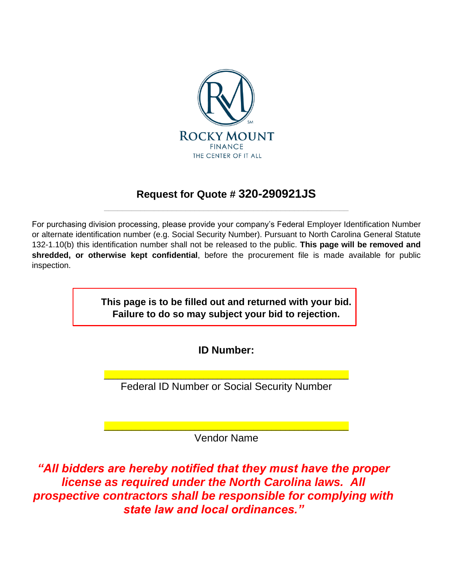

# **Request for Quote # 320-290921JS** \_\_\_\_\_\_\_\_\_\_\_\_\_\_\_\_\_\_\_\_\_\_\_\_\_\_\_\_\_\_\_\_\_\_\_\_\_\_\_\_\_\_\_\_\_\_\_\_\_\_\_\_\_\_

For purchasing division processing, please provide your company's Federal Employer Identification Number or alternate identification number (e.g. Social Security Number). Pursuant to North Carolina General Statute 132-1.10(b) this identification number shall not be released to the public. **This page will be removed and shredded, or otherwise kept confidential**, before the procurement file is made available for public inspection.

> **This page is to be filled out and returned with your bid. Failure to do so may subject your bid to rejection.**

> > **ID Number:**

\_\_\_\_\_\_\_\_\_\_\_\_\_\_\_\_\_\_\_\_\_\_\_\_\_\_\_\_\_\_\_\_\_\_\_\_\_\_\_\_\_\_\_\_\_\_\_\_\_\_\_\_\_\_ Federal ID Number or Social Security Number

\_\_\_\_\_\_\_\_\_\_\_\_\_\_\_\_\_\_\_\_\_\_\_\_\_\_\_\_\_\_\_\_\_\_\_\_\_\_\_\_\_\_\_\_\_\_\_\_\_\_\_\_\_\_ Vendor Name

*"All bidders are hereby notified that they must have the proper license as required under the North Carolina laws. All prospective contractors shall be responsible for complying with state law and local ordinances."*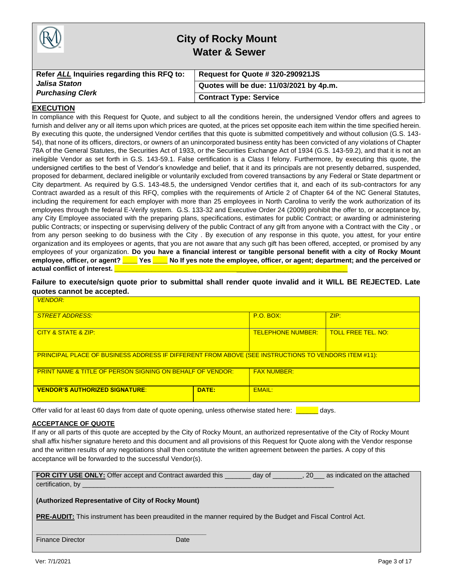|                                            | <b>City of Rocky Mount</b><br><b>Water &amp; Sewer</b> |
|--------------------------------------------|--------------------------------------------------------|
| Refer ALL Inquiries regarding this RFQ to: | Request for Quote # 320-290921JS                       |
| Jalisa Staton<br><b>Purchasing Clerk</b>   | Quotes will be due: 11/03/2021 by 4p.m.                |
|                                            | <b>Contract Type: Service</b>                          |

#### **EXECUTION**

In compliance with this Request for Quote, and subject to all the conditions herein, the undersigned Vendor offers and agrees to furnish and deliver any or all items upon which prices are quoted, at the prices set opposite each item within the time specified herein. By executing this quote, the undersigned Vendor certifies that this quote is submitted competitively and without collusion (G.S. 143- 54), that none of its officers, directors, or owners of an unincorporated business entity has been convicted of any violations of Chapter 78A of the General Statutes, the Securities Act of 1933, or the Securities Exchange Act of 1934 (G.S. 143-59.2), and that it is not an ineligible Vendor as set forth in G.S. 143-59.1. False certification is a Class I felony. Furthermore, by executing this quote, the undersigned certifies to the best of Vendor's knowledge and belief, that it and its principals are not presently debarred, suspended, proposed for debarment, declared ineligible or voluntarily excluded from covered transactions by any Federal or State department or City department. As required by G.S. 143-48.5, the undersigned Vendor certifies that it, and each of its sub-contractors for any Contract awarded as a result of this RFQ, complies with the requirements of Article 2 of Chapter 64 of the NC General Statutes, including the requirement for each employer with more than 25 employees in North Carolina to verify the work authorization of its employees through the federal E-Verify system. G.S. 133-32 and Executive Order 24 (2009) prohibit the offer to, or acceptance by, any City Employee associated with the preparing plans, specifications, estimates for public Contract; or awarding or administering public Contracts; or inspecting or supervising delivery of the public Contract of any gift from anyone with a Contract with the City , or from any person seeking to do business with the City . By execution of any response in this quote, you attest, for your entire organization and its employees or agents, that you are not aware that any such gift has been offered, accepted, or promised by any employees of your organization. **Do you have a financial interest or tangible personal benefit with a city of Rocky Mount employee, officer, or agent? \_\_\_\_ Yes \_\_\_\_ No If yes note the employee, officer, or agent; department; and the perceived or**  actual conflict of interest. **Quart** 

**Failure to execute/sign quote prior to submittal shall render quote invalid and it WILL BE REJECTED. Late quotes cannot be accepted.**

| <b>VENDOR:</b>                                                                                             |                          |                           |      |
|------------------------------------------------------------------------------------------------------------|--------------------------|---------------------------|------|
| <b>STREET ADDRESS:</b>                                                                                     |                          | <b>P.O. BOX:</b>          | ZIP: |
| CITY & STATE & ZIP:                                                                                        | <b>TELEPHONE NUMBER:</b> | <b>TOLL FREE TEL, NO:</b> |      |
| <b>PRINCIPAL PLACE OF BUSINESS ADDRESS IF DIFFERENT FROM ABOVE (SEE INSTRUCTIONS TO VENDORS ITEM #11):</b> |                          |                           |      |
| <b>PRINT NAME &amp; TITLE OF PERSON SIGNING ON BEHALF OF VENDOR:</b>                                       |                          | <b>FAX NUMBER:</b>        |      |
| <b>VENDOR'S AUTHORIZED SIGNATURE:</b><br>DATE:                                                             |                          | FMAII:                    |      |

Offer valid for at least 60 days from date of quote opening, unless otherwise stated here: **The analyses** 

#### **ACCEPTANCE OF QUOTE**

If any or all parts of this quote are accepted by the City of Rocky Mount, an authorized representative of the City of Rocky Mount shall affix his/her signature hereto and this document and all provisions of this Request for Quote along with the Vendor response and the written results of any negotiations shall then constitute the written agreement between the parties. A copy of this acceptance will be forwarded to the successful Vendor(s).

| FOR CITY USE ONLY: Offer accept and Contract awarded this                                                          |      | day of | 20 as indicated on the attached |
|--------------------------------------------------------------------------------------------------------------------|------|--------|---------------------------------|
| <b>Certification, by Certification</b> , <b>by CERTIFICATION</b>                                                   |      |        |                                 |
|                                                                                                                    |      |        |                                 |
| (Authorized Representative of City of Rocky Mount)                                                                 |      |        |                                 |
|                                                                                                                    |      |        |                                 |
| <b>PRE-AUDIT:</b> This instrument has been preaudited in the manner required by the Budget and Fiscal Control Act. |      |        |                                 |
|                                                                                                                    |      |        |                                 |
|                                                                                                                    |      |        |                                 |
| <b>Finance Director</b>                                                                                            | Date |        |                                 |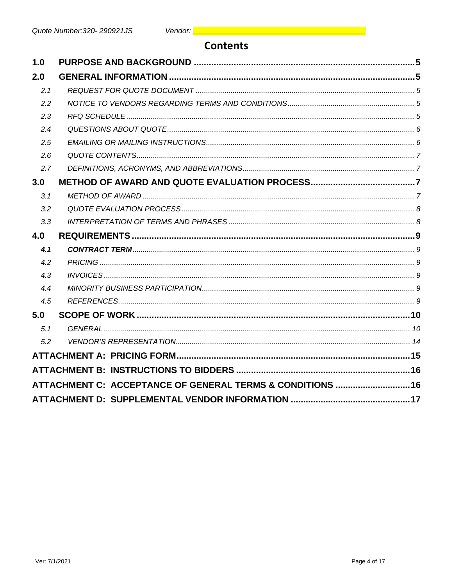# **Contents**

| 1.0 |                                                            |  |
|-----|------------------------------------------------------------|--|
| 2.0 |                                                            |  |
| 2.1 |                                                            |  |
| 2.2 |                                                            |  |
| 2.3 |                                                            |  |
| 2.4 |                                                            |  |
| 2.5 |                                                            |  |
| 2.6 |                                                            |  |
| 2.7 |                                                            |  |
| 3.0 |                                                            |  |
| 3.1 |                                                            |  |
| 3.2 |                                                            |  |
| 3.3 |                                                            |  |
| 4.0 |                                                            |  |
| 4.1 |                                                            |  |
| 4.2 |                                                            |  |
| 4.3 |                                                            |  |
| 4.4 |                                                            |  |
| 4.5 |                                                            |  |
| 5.0 |                                                            |  |
| 5.1 |                                                            |  |
|     |                                                            |  |
| 5.2 |                                                            |  |
|     |                                                            |  |
|     |                                                            |  |
|     | ATTACHMENT C: ACCEPTANCE OF GENERAL TERMS & CONDITIONS  16 |  |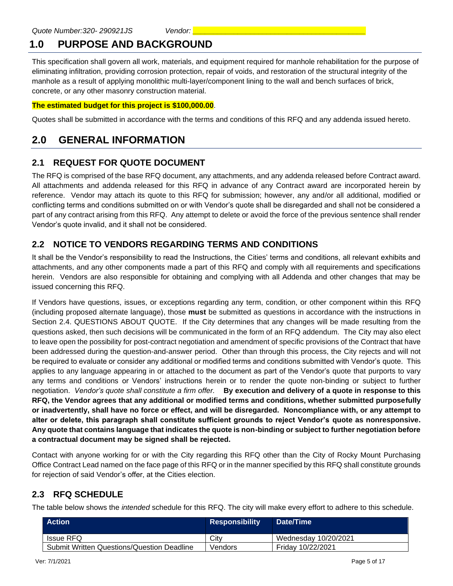# **1.0 PURPOSE AND BACKGROUND**

This specification shall govern all work, materials, and equipment required for manhole rehabilitation for the purpose of eliminating infiltration, providing corrosion protection, repair of voids, and restoration of the structural integrity of the manhole as a result of applying monolithic multi-layer/component lining to the wall and bench surfaces of brick, concrete, or any other masonry construction material.

### **The estimated budget for this project is \$100,000.00**.

Quotes shall be submitted in accordance with the terms and conditions of this RFQ and any addenda issued hereto.

# **2.0 GENERAL INFORMATION**

## **2.1 REQUEST FOR QUOTE DOCUMENT**

The RFQ is comprised of the base RFQ document, any attachments, and any addenda released before Contract award. All attachments and addenda released for this RFQ in advance of any Contract award are incorporated herein by reference. Vendor may attach its quote to this RFQ for submission; however, any and/or all additional, modified or conflicting terms and conditions submitted on or with Vendor's quote shall be disregarded and shall not be considered a part of any contract arising from this RFQ. Any attempt to delete or avoid the force of the previous sentence shall render Vendor's quote invalid, and it shall not be considered.

# **2.2 NOTICE TO VENDORS REGARDING TERMS AND CONDITIONS**

It shall be the Vendor's responsibility to read the Instructions, the Cities' terms and conditions, all relevant exhibits and attachments, and any other components made a part of this RFQ and comply with all requirements and specifications herein. Vendors are also responsible for obtaining and complying with all Addenda and other changes that may be issued concerning this RFQ.

If Vendors have questions, issues, or exceptions regarding any term, condition, or other component within this RFQ (including proposed alternate language), those **must** be submitted as questions in accordance with the instructions in Section 2.4. QUESTIONS ABOUT QUOTE. If the City determines that any changes will be made resulting from the questions asked, then such decisions will be communicated in the form of an RFQ addendum. The City may also elect to leave open the possibility for post-contract negotiation and amendment of specific provisions of the Contract that have been addressed during the question-and-answer period. Other than through this process, the City rejects and will not be required to evaluate or consider any additional or modified terms and conditions submitted with Vendor's quote. This applies to any language appearing in or attached to the document as part of the Vendor's quote that purports to vary any terms and conditions or Vendors' instructions herein or to render the quote non-binding or subject to further negotiation. *Vendor's quote shall constitute a firm offer.* **By execution and delivery of a quote in response to this RFQ, the Vendor agrees that any additional or modified terms and conditions, whether submitted purposefully or inadvertently, shall have no force or effect, and will be disregarded. Noncompliance with, or any attempt to alter or delete, this paragraph shall constitute sufficient grounds to reject Vendor's quote as nonresponsive. Any quote that contains language that indicates the quote is non-binding or subject to further negotiation before a contractual document may be signed shall be rejected.**

Contact with anyone working for or with the City regarding this RFQ other than the City of Rocky Mount Purchasing Office Contract Lead named on the face page of this RFQ or in the manner specified by this RFQ shall constitute grounds for rejection of said Vendor's offer, at the Cities election.

# **2.3 RFQ SCHEDULE**

The table below shows the *intended* schedule for this RFQ. The city will make every effort to adhere to this schedule.

| <b>Action</b>                                     | <b>Responsibility</b> | Date/Time            |
|---------------------------------------------------|-----------------------|----------------------|
| Issue RFQ                                         | City                  | Wednesday 10/20/2021 |
| <b>Submit Written Questions/Question Deadline</b> | Vendors               | Friday 10/22/2021    |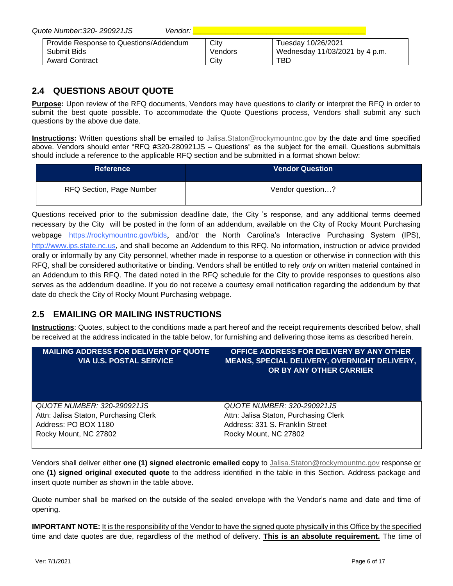*Quote Number:320- 290921JS Vendor: \_\_\_\_\_\_\_\_\_\_\_\_\_\_\_\_\_\_\_\_\_\_\_\_\_\_\_\_\_\_\_\_\_\_\_\_\_\_\_\_\_\_*

| Provide Response to Questions/Addendum | City    | Tuesdav 10/26/2021             |
|----------------------------------------|---------|--------------------------------|
| Submit Bids                            | Vendors | Wednesday 11/03/2021 by 4 p.m. |
| <b>Award Contract</b>                  | Citv    | TBL                            |

# **2.4 QUESTIONS ABOUT QUOTE**

**Purpose:** Upon review of the RFQ documents, Vendors may have questions to clarify or interpret the RFQ in order to submit the best quote possible. To accommodate the Quote Questions process, Vendors shall submit any such questions by the above due date.

**Instructions:** Written questions shall be emailed to [Jalisa.Staton@rockymountnc.gov](mailto:debra.harris@rockymountnc.gov) by the date and time specified above. Vendors should enter "RFQ #320-280921JS – Questions" as the subject for the email. Questions submittals should include a reference to the applicable RFQ section and be submitted in a format shown below:

| <b>Reference</b>                | <b>Vendor Question</b> |
|---------------------------------|------------------------|
| <b>RFQ Section, Page Number</b> | Vendor question?       |

Questions received prior to the submission deadline date, the City 's response, and any additional terms deemed necessary by the City will be posted in the form of an addendum, available on the City of Rocky Mount Purchasing webpage https://rockymountnc.gov/bids, and/or the North Carolina's Interactive Purchasing System (IPS), [http://www.ips.state.nc.us,](http://www.ips.state.nc.us/) and shall become an Addendum to this RFQ. No information, instruction or advice provided orally or informally by any City personnel, whether made in response to a question or otherwise in connection with this RFQ, shall be considered authoritative or binding. Vendors shall be entitled to rely *only* on written material contained in an Addendum to this RFQ. The dated noted in the RFQ schedule for the City to provide responses to questions also serves as the addendum deadline. If you do not receive a courtesy email notification regarding the addendum by that date do check the City of Rocky Mount Purchasing webpage.

# **2.5 EMAILING OR MAILING INSTRUCTIONS**

**Instructions**: Quotes, subject to the conditions made a part hereof and the receipt requirements described below, shall be received at the address indicated in the table below, for furnishing and delivering those items as described herein.

| <b>MAILING ADDRESS FOR DELIVERY OF QUOTE</b><br><b>VIA U.S. POSTAL SERVICE</b> | OFFICE ADDRESS FOR DELIVERY BY ANY OTHER<br><b>MEANS, SPECIAL DELIVERY, OVERNIGHT DELIVERY,</b><br>OR BY ANY OTHER CARRIER |
|--------------------------------------------------------------------------------|----------------------------------------------------------------------------------------------------------------------------|
| QUOTE NUMBER: 320-290921JS                                                     | QUOTE NUMBER: 320-290921JS                                                                                                 |
| Attn: Jalisa Staton, Purchasing Clerk                                          | Attn: Jalisa Staton, Purchasing Clerk                                                                                      |
| Address: PO BOX 1180                                                           | Address: 331 S. Franklin Street                                                                                            |
| Rocky Mount, NC 27802                                                          | Rocky Mount, NC 27802                                                                                                      |

Vendors shall deliver either **one (1) signed electronic emailed copy** to [Jalisa.Staton@rockymountnc.gov](mailto:debra.harris@rockymountnc.gov) response or one **(1) signed original executed quote** to the address identified in the table in this Section. Address package and insert quote number as shown in the table above.

Quote number shall be marked on the outside of the sealed envelope with the Vendor's name and date and time of opening.

**IMPORTANT NOTE:** It is the responsibility of the Vendor to have the signed quote physically in this Office by the specified time and date quotes are due, regardless of the method of delivery. **This is an absolute requirement.** The time of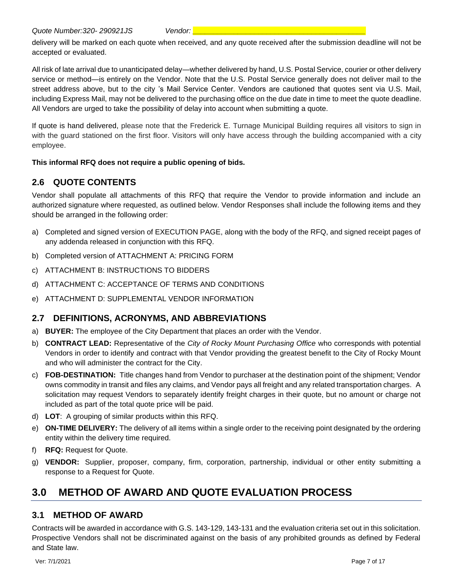delivery will be marked on each quote when received, and any quote received after the submission deadline will not be accepted or evaluated.

All risk of late arrival due to unanticipated delay—whether delivered by hand, U.S. Postal Service, courier or other delivery service or method—is entirely on the Vendor. Note that the U.S. Postal Service generally does not deliver mail to the street address above, but to the city 's Mail Service Center. Vendors are cautioned that quotes sent via U.S. Mail, including Express Mail, may not be delivered to the purchasing office on the due date in time to meet the quote deadline. All Vendors are urged to take the possibility of delay into account when submitting a quote.

If quote is hand delivered, please note that the Frederick E. Turnage Municipal Building requires all visitors to sign in with the guard stationed on the first floor. Visitors will only have access through the building accompanied with a city employee.

### **This informal RFQ does not require a public opening of bids.**

# **2.6 QUOTE CONTENTS**

Vendor shall populate all attachments of this RFQ that require the Vendor to provide information and include an authorized signature where requested, as outlined below. Vendor Responses shall include the following items and they should be arranged in the following order:

- a) Completed and signed version of EXECUTION PAGE, along with the body of the RFQ, and signed receipt pages of any addenda released in conjunction with this RFQ.
- b) Completed version of ATTACHMENT A: PRICING FORM
- c) ATTACHMENT B: INSTRUCTIONS TO BIDDERS
- d) ATTACHMENT C: ACCEPTANCE OF TERMS AND CONDITIONS
- e) ATTACHMENT D: SUPPLEMENTAL VENDOR INFORMATION

### **2.7 DEFINITIONS, ACRONYMS, AND ABBREVIATIONS**

- a) **BUYER:** The employee of the City Department that places an order with the Vendor.
- b) **CONTRACT LEAD:** Representative of the *City of Rocky Mount Purchasing Office* who corresponds with potential Vendors in order to identify and contract with that Vendor providing the greatest benefit to the City of Rocky Mount and who will administer the contract for the City.
- c) **FOB-DESTINATION:** Title changes hand from Vendor to purchaser at the destination point of the shipment; Vendor owns commodity in transit and files any claims, and Vendor pays all freight and any related transportation charges. A solicitation may request Vendors to separately identify freight charges in their quote, but no amount or charge not included as part of the total quote price will be paid.
- d) **LOT**: A grouping of similar products within this RFQ.
- e) **ON-TIME DELIVERY:** The delivery of all items within a single order to the receiving point designated by the ordering entity within the delivery time required.
- f) **RFQ:** Request for Quote.
- g) **VENDOR:** Supplier, proposer, company, firm, corporation, partnership, individual or other entity submitting a response to a Request for Quote.

# **3.0 METHOD OF AWARD AND QUOTE EVALUATION PROCESS**

### **3.1 METHOD OF AWARD**

Contracts will be awarded in accordance with G.S. 143-129, 143-131 and the evaluation criteria set out in this solicitation. Prospective Vendors shall not be discriminated against on the basis of any prohibited grounds as defined by Federal and State law.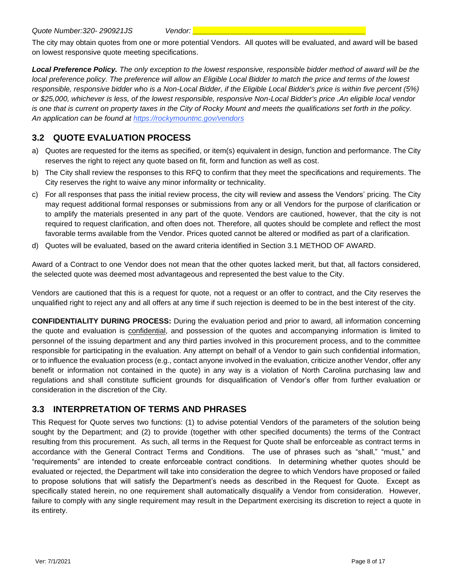The city may obtain quotes from one or more potential Vendors. All quotes will be evaluated, and award will be based on lowest responsive quote meeting specifications.

*Local Preference Policy. The only exception to the lowest responsive, responsible bidder method of award will be the local preference policy. The preference will allow an Eligible Local Bidder to match the price and terms of the lowest responsible, responsive bidder who is a Non-Local Bidder, if the Eligible Local Bidder's price is within five percent (5%) or \$25,000, whichever is less, of the lowest responsible, responsive Non-Local Bidder's price .An eligible local vendor is one that is current on property taxes in the City of Rocky Mount and meets the qualifications set forth in the policy. An application can be found at https://rockymountnc.gov/vendors*

# **3.2 QUOTE EVALUATION PROCESS**

- a) Quotes are requested for the items as specified, or item(s) equivalent in design, function and performance. The City reserves the right to reject any quote based on fit, form and function as well as cost.
- b) The City shall review the responses to this RFQ to confirm that they meet the specifications and requirements. The City reserves the right to waive any minor informality or technicality.
- c) For all responses that pass the initial review process, the city will review and assess the Vendors' pricing. The City may request additional formal responses or submissions from any or all Vendors for the purpose of clarification or to amplify the materials presented in any part of the quote. Vendors are cautioned, however, that the city is not required to request clarification, and often does not. Therefore, all quotes should be complete and reflect the most favorable terms available from the Vendor. Prices quoted cannot be altered or modified as part of a clarification.
- d) Quotes will be evaluated, based on the award criteria identified in Section 3.1 METHOD OF AWARD.

Award of a Contract to one Vendor does not mean that the other quotes lacked merit, but that, all factors considered, the selected quote was deemed most advantageous and represented the best value to the City.

Vendors are cautioned that this is a request for quote, not a request or an offer to contract, and the City reserves the unqualified right to reject any and all offers at any time if such rejection is deemed to be in the best interest of the city.

**CONFIDENTIALITY DURING PROCESS:** During the evaluation period and prior to award, all information concerning the quote and evaluation is confidential, and possession of the quotes and accompanying information is limited to personnel of the issuing department and any third parties involved in this procurement process, and to the committee responsible for participating in the evaluation. Any attempt on behalf of a Vendor to gain such confidential information, or to influence the evaluation process (e.g., contact anyone involved in the evaluation, criticize another Vendor, offer any benefit or information not contained in the quote) in any way is a violation of North Carolina purchasing law and regulations and shall constitute sufficient grounds for disqualification of Vendor's offer from further evaluation or consideration in the discretion of the City.

### **3.3 INTERPRETATION OF TERMS AND PHRASES**

This Request for Quote serves two functions: (1) to advise potential Vendors of the parameters of the solution being sought by the Department; and (2) to provide (together with other specified documents) the terms of the Contract resulting from this procurement. As such, all terms in the Request for Quote shall be enforceable as contract terms in accordance with the General Contract Terms and Conditions. The use of phrases such as "shall," "must," and "requirements" are intended to create enforceable contract conditions. In determining whether quotes should be evaluated or rejected, the Department will take into consideration the degree to which Vendors have proposed or failed to propose solutions that will satisfy the Department's needs as described in the Request for Quote. Except as specifically stated herein, no one requirement shall automatically disqualify a Vendor from consideration. However, failure to comply with any single requirement may result in the Department exercising its discretion to reject a quote in its entirety.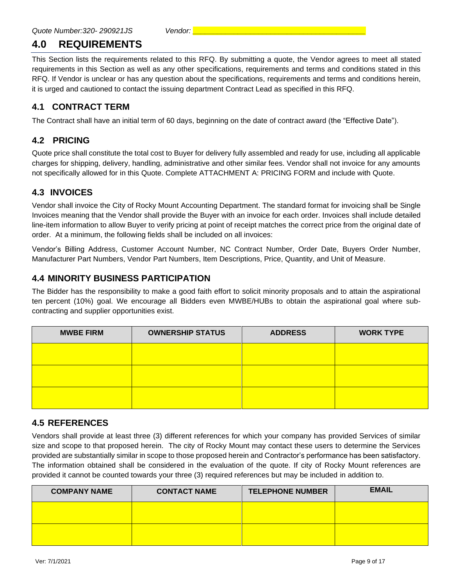# **4.0 REQUIREMENTS**

This Section lists the requirements related to this RFQ. By submitting a quote, the Vendor agrees to meet all stated requirements in this Section as well as any other specifications, requirements and terms and conditions stated in this RFQ. If Vendor is unclear or has any question about the specifications, requirements and terms and conditions herein, it is urged and cautioned to contact the issuing department Contract Lead as specified in this RFQ.

## **4.1 CONTRACT TERM**

The Contract shall have an initial term of 60 days, beginning on the date of contract award (the "Effective Date").

## **4.2 PRICING**

Quote price shall constitute the total cost to Buyer for delivery fully assembled and ready for use, including all applicable charges for shipping, delivery, handling, administrative and other similar fees. Vendor shall not invoice for any amounts not specifically allowed for in this Quote. Complete ATTACHMENT A: PRICING FORM and include with Quote.

## **4.3 INVOICES**

Vendor shall invoice the City of Rocky Mount Accounting Department. The standard format for invoicing shall be Single Invoices meaning that the Vendor shall provide the Buyer with an invoice for each order. Invoices shall include detailed line-item information to allow Buyer to verify pricing at point of receipt matches the correct price from the original date of order. At a minimum, the following fields shall be included on all invoices:

Vendor's Billing Address, Customer Account Number, NC Contract Number, Order Date, Buyers Order Number, Manufacturer Part Numbers, Vendor Part Numbers, Item Descriptions, Price, Quantity, and Unit of Measure.

### **4.4 MINORITY BUSINESS PARTICIPATION**

The Bidder has the responsibility to make a good faith effort to solicit minority proposals and to attain the aspirational ten percent (10%) goal. We encourage all Bidders even MWBE/HUBs to obtain the aspirational goal where subcontracting and supplier opportunities exist.

| <b>MWBE FIRM</b> | <b>OWNERSHIP STATUS</b> | <b>ADDRESS</b> | <b>WORK TYPE</b> |
|------------------|-------------------------|----------------|------------------|
|                  |                         |                |                  |
|                  |                         |                |                  |
|                  |                         |                |                  |
|                  |                         |                |                  |

### **4.5 REFERENCES**

Vendors shall provide at least three (3) different references for which your company has provided Services of similar size and scope to that proposed herein. The city of Rocky Mount may contact these users to determine the Services provided are substantially similar in scope to those proposed herein and Contractor's performance has been satisfactory. The information obtained shall be considered in the evaluation of the quote. If city of Rocky Mount references are provided it cannot be counted towards your three (3) required references but may be included in addition to.

| <b>COMPANY NAME</b> | <b>CONTACT NAME</b> | <b>TELEPHONE NUMBER</b> | <b>EMAIL</b> |
|---------------------|---------------------|-------------------------|--------------|
|                     |                     |                         |              |
|                     |                     |                         |              |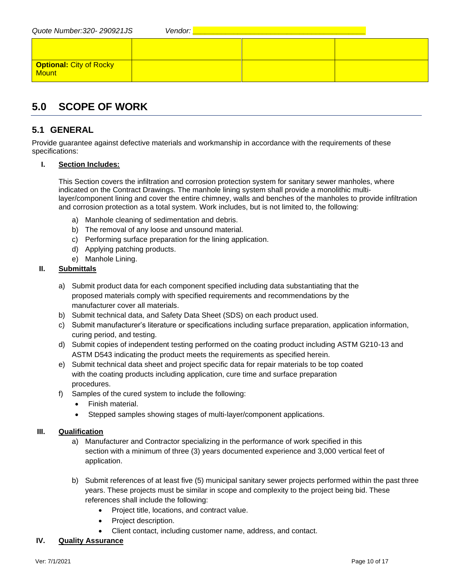| Quote Number: 320-290921JS       | Vendor: |  |
|----------------------------------|---------|--|
|                                  |         |  |
| Optional: City of Rocky<br>Mount |         |  |

# **5.0 SCOPE OF WORK**

# **5.1 GENERAL**

Provide guarantee against defective materials and workmanship in accordance with the requirements of these specifications:

### **I. Section Includes:**

This Section covers the infiltration and corrosion protection system for sanitary sewer manholes, where indicated on the Contract Drawings. The manhole lining system shall provide a monolithic multilayer/component lining and cover the entire chimney, walls and benches of the manholes to provide infiltration and corrosion protection as a total system. Work includes, but is not limited to, the following:

- a) Manhole cleaning of sedimentation and debris.
- b) The removal of any loose and unsound material.
- c) Performing surface preparation for the lining application.
- d) Applying patching products.
- e) Manhole Lining.

### **II. Submittals**

- a) Submit product data for each component specified including data substantiating that the proposed materials comply with specified requirements and recommendations by the manufacturer cover all materials.
- b) Submit technical data, and Safety Data Sheet (SDS) on each product used.
- c) Submit manufacturer's literature or specifications including surface preparation, application information, curing period, and testing.
- d) Submit copies of independent testing performed on the coating product including ASTM G210-13 and ASTM D543 indicating the product meets the requirements as specified herein.
- e) Submit technical data sheet and project specific data for repair materials to be top coated with the coating products including application, cure time and surface preparation procedures.
- f) Samples of the cured system to include the following:
	- Finish material.
	- Stepped samples showing stages of multi-layer/component applications.

### **III. Qualification**

- a) Manufacturer and Contractor specializing in the performance of work specified in this section with a minimum of three (3) years documented experience and 3,000 vertical feet of application.
- b) Submit references of at least five (5) municipal sanitary sewer projects performed within the past three years. These projects must be similar in scope and complexity to the project being bid. These references shall include the following:
	- Project title, locations, and contract value.
	- Project description.
	- Client contact, including customer name, address, and contact.

### **IV. Quality Assurance**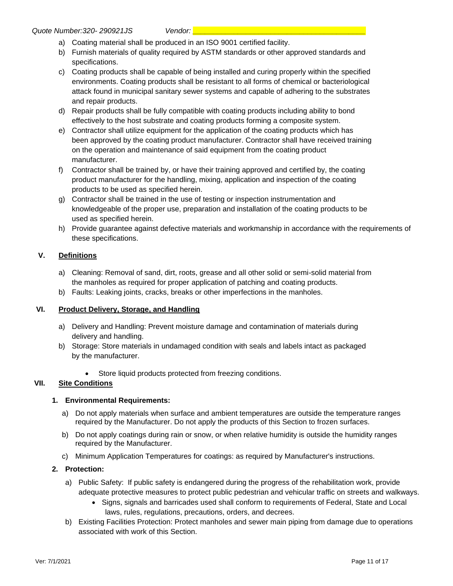- a) Coating material shall be produced in an ISO 9001 certified facility.
- b) Furnish materials of quality required by ASTM standards or other approved standards and specifications.
- c) Coating products shall be capable of being installed and curing properly within the specified environments. Coating products shall be resistant to all forms of chemical or bacteriological attack found in municipal sanitary sewer systems and capable of adhering to the substrates and repair products.
- d) Repair products shall be fully compatible with coating products including ability to bond effectively to the host substrate and coating products forming a composite system.
- e) Contractor shall utilize equipment for the application of the coating products which has been approved by the coating product manufacturer. Contractor shall have received training on the operation and maintenance of said equipment from the coating product manufacturer.
- f) Contractor shall be trained by, or have their training approved and certified by, the coating product manufacturer for the handling, mixing, application and inspection of the coating products to be used as specified herein.
- g) Contractor shall be trained in the use of testing or inspection instrumentation and knowledgeable of the proper use, preparation and installation of the coating products to be used as specified herein.
- h) Provide guarantee against defective materials and workmanship in accordance with the requirements of these specifications.

### **V. Definitions**

- a) Cleaning: Removal of sand, dirt, roots, grease and all other solid or semi-solid material from the manholes as required for proper application of patching and coating products.
- b) Faults: Leaking joints, cracks, breaks or other imperfections in the manholes.

#### **VI. Product Delivery, Storage, and Handling**

- a) Delivery and Handling: Prevent moisture damage and contamination of materials during delivery and handling.
- b) Storage: Store materials in undamaged condition with seals and labels intact as packaged by the manufacturer.
	- Store liquid products protected from freezing conditions.

### **VII. Site Conditions**

#### **1. Environmental Requirements:**

- a) Do not apply materials when surface and ambient temperatures are outside the temperature ranges required by the Manufacturer. Do not apply the products of this Section to frozen surfaces.
- b) Do not apply coatings during rain or snow, or when relative humidity is outside the humidity ranges required by the Manufacturer.
- c) Minimum Application Temperatures for coatings: as required by Manufacturer's instructions.

#### **2. Protection:**

- a) Public Safety: If public safety is endangered during the progress of the rehabilitation work, provide adequate protective measures to protect public pedestrian and vehicular traffic on streets and walkways.
	- Signs, signals and barricades used shall conform to requirements of Federal, State and Local laws, rules, regulations, precautions, orders, and decrees.
- b) Existing Facilities Protection: Protect manholes and sewer main piping from damage due to operations associated with work of this Section.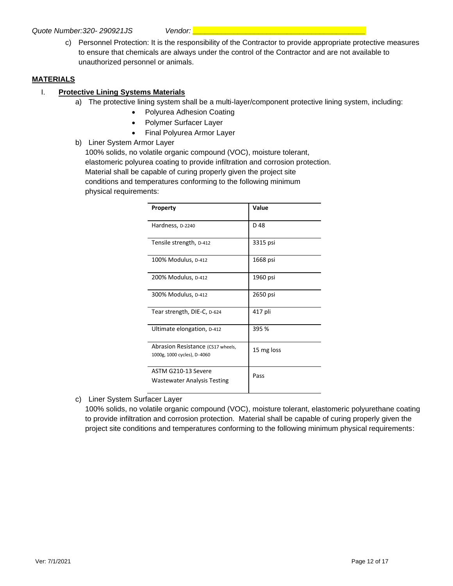c) Personnel Protection: It is the responsibility of the Contractor to provide appropriate protective measures to ensure that chemicals are always under the control of the Contractor and are not available to unauthorized personnel or animals.

### **MATERIALS**

### I. **Protective Lining Systems Materials**

- a) The protective lining system shall be a multi-layer/component protective lining system, including:
	- Polyurea Adhesion Coating
	- Polymer Surfacer Layer
	- Final Polyurea Armor Layer
- b) Liner System Armor Layer

100% solids, no volatile organic compound (VOC), moisture tolerant, elastomeric polyurea coating to provide infiltration and corrosion protection. Material shall be capable of curing properly given the project site conditions and temperatures conforming to the following minimum physical requirements:

| Property                                                         | Value      |
|------------------------------------------------------------------|------------|
| Hardness, D-2240                                                 | D 48       |
| Tensile strength, D-412                                          | 3315 psi   |
| 100% Modulus, D-412                                              | 1668 psi   |
| 200% Modulus, D-412                                              | 1960 psi   |
| 300% Modulus, D-412                                              | 2650 psi   |
| Tear strength, DIE-C, D-624                                      | 417 pli    |
| Ultimate elongation, D-412                                       | 395 %      |
| Abrasion Resistance (CS17 wheels,<br>1000g, 1000 cycles), D-4060 | 15 mg loss |
| ASTM G210-13 Severe<br><b>Wastewater Analysis Testing</b>        | Pass       |

c) Liner System Surfacer Layer

100% solids, no volatile organic compound (VOC), moisture tolerant, elastomeric polyurethane coating to provide infiltration and corrosion protection. Material shall be capable of curing properly given the project site conditions and temperatures conforming to the following minimum physical requirements: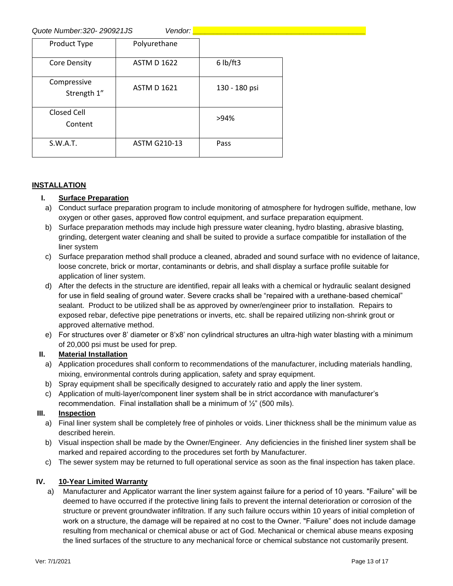*Quote Number:320- 290921JS Vendor: \_\_\_\_\_\_\_\_\_\_\_\_\_\_\_\_\_\_\_\_\_\_\_\_\_\_\_\_\_\_\_\_\_\_\_\_\_\_\_\_\_\_*

| 000 - 1000 - 1000 - 1000 - 100 |                     |               |  |  |  |
|--------------------------------|---------------------|---------------|--|--|--|
| Product Type                   | Polyurethane        |               |  |  |  |
| <b>Core Density</b>            | <b>ASTM D 1622</b>  | $6$ lb/ft3    |  |  |  |
| Compressive<br>Strength 1"     | <b>ASTM D 1621</b>  | 130 - 180 psi |  |  |  |
| Closed Cell<br>Content         |                     | >94%          |  |  |  |
| S.W.A.T.                       | <b>ASTM G210-13</b> | Pass          |  |  |  |

### **INSTALLATION**

### **I. Surface Preparation**

- a) Conduct surface preparation program to include monitoring of atmosphere for hydrogen sulfide, methane, low oxygen or other gases, approved flow control equipment, and surface preparation equipment.
- b) Surface preparation methods may include high pressure water cleaning, hydro blasting, abrasive blasting, grinding, detergent water cleaning and shall be suited to provide a surface compatible for installation of the liner system
- c) Surface preparation method shall produce a cleaned, abraded and sound surface with no evidence of laitance, loose concrete, brick or mortar, contaminants or debris, and shall display a surface profile suitable for application of liner system.
- d) After the defects in the structure are identified, repair all leaks with a chemical or hydraulic sealant designed for use in field sealing of ground water. Severe cracks shall be "repaired with a urethane-based chemical" sealant. Product to be utilized shall be as approved by owner/engineer prior to installation. Repairs to exposed rebar, defective pipe penetrations or inverts, etc. shall be repaired utilizing non-shrink grout or approved alternative method.
- e) For structures over 8' diameter or 8'x8' non cylindrical structures an ultra-high water blasting with a minimum of 20,000 psi must be used for prep.

### **II. Material Installation**

- a) Application procedures shall conform to recommendations of the manufacturer, including materials handling, mixing, environmental controls during application, safety and spray equipment.
- b) Spray equipment shall be specifically designed to accurately ratio and apply the liner system.
- c) Application of multi-layer/component liner system shall be in strict accordance with manufacturer's recommendation. Final installation shall be a minimum of  $\frac{1}{2}$ " (500 mils).

### **III. Inspection**

- a) Final liner system shall be completely free of pinholes or voids. Liner thickness shall be the minimum value as described herein.
- b) Visual inspection shall be made by the Owner/Engineer. Any deficiencies in the finished liner system shall be marked and repaired according to the procedures set forth by Manufacturer.
- c) The sewer system may be returned to full operational service as soon as the final inspection has taken place.

### **IV. 10-Year Limited Warranty**

a) Manufacturer and Applicator warrant the liner system against failure for a period of 10 years. "Failure" will be deemed to have occurred if the protective lining fails to prevent the internal deterioration or corrosion of the structure or prevent groundwater infiltration. If any such failure occurs within 10 years of initial completion of work on a structure, the damage will be repaired at no cost to the Owner. "Failure" does not include damage resulting from mechanical or chemical abuse or act of God. Mechanical or chemical abuse means exposing the lined surfaces of the structure to any mechanical force or chemical substance not customarily present.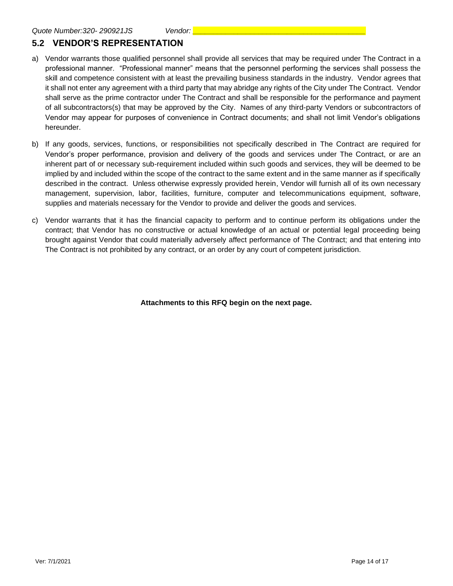# **5.2 VENDOR'S REPRESENTATION**

- a) Vendor warrants those qualified personnel shall provide all services that may be required under The Contract in a professional manner. "Professional manner" means that the personnel performing the services shall possess the skill and competence consistent with at least the prevailing business standards in the industry. Vendor agrees that it shall not enter any agreement with a third party that may abridge any rights of the City under The Contract. Vendor shall serve as the prime contractor under The Contract and shall be responsible for the performance and payment of all subcontractors(s) that may be approved by the City. Names of any third-party Vendors or subcontractors of Vendor may appear for purposes of convenience in Contract documents; and shall not limit Vendor's obligations hereunder.
- b) If any goods, services, functions, or responsibilities not specifically described in The Contract are required for Vendor's proper performance, provision and delivery of the goods and services under The Contract, or are an inherent part of or necessary sub-requirement included within such goods and services, they will be deemed to be implied by and included within the scope of the contract to the same extent and in the same manner as if specifically described in the contract. Unless otherwise expressly provided herein, Vendor will furnish all of its own necessary management, supervision, labor, facilities, furniture, computer and telecommunications equipment, software, supplies and materials necessary for the Vendor to provide and deliver the goods and services.
- c) Vendor warrants that it has the financial capacity to perform and to continue perform its obligations under the contract; that Vendor has no constructive or actual knowledge of an actual or potential legal proceeding being brought against Vendor that could materially adversely affect performance of The Contract; and that entering into The Contract is not prohibited by any contract, or an order by any court of competent jurisdiction.

**Attachments to this RFQ begin on the next page.**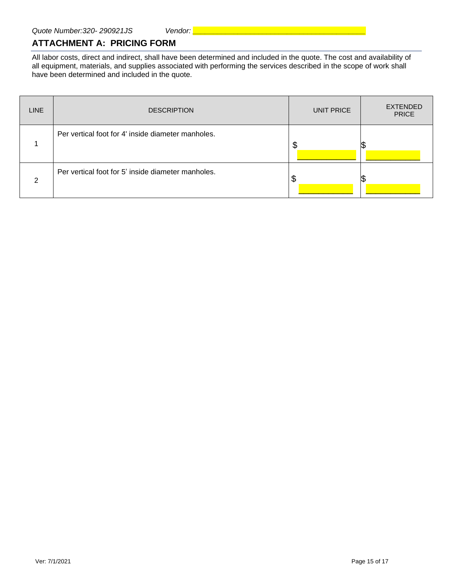# **ATTACHMENT A: PRICING FORM**

All labor costs, direct and indirect, shall have been determined and included in the quote. The cost and availability of all equipment, materials, and supplies associated with performing the services described in the scope of work shall have been determined and included in the quote.

| <b>LINE</b> | <b>DESCRIPTION</b>                                 | UNIT PRICE | <b>EXTENDED</b><br><b>PRICE</b> |
|-------------|----------------------------------------------------|------------|---------------------------------|
|             | Per vertical foot for 4' inside diameter manholes. | \$         |                                 |
| ◠           | Per vertical foot for 5' inside diameter manholes. |            |                                 |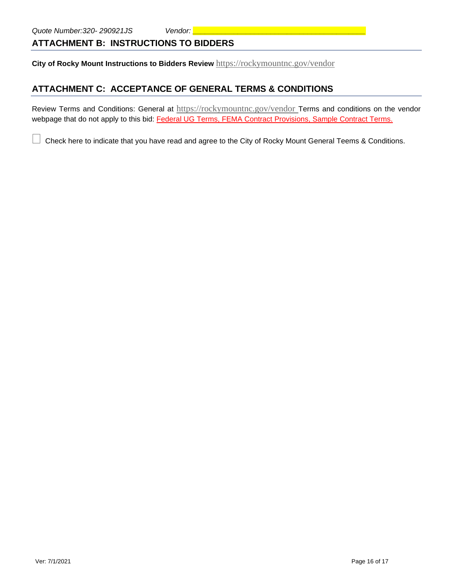## **ATTACHMENT B: INSTRUCTIONS TO BIDDERS**

**City of Rocky Mount Instructions to Bidders Review** <https://rockymountnc.gov/vendor>

# **ATTACHMENT C: ACCEPTANCE OF GENERAL TERMS & CONDITIONS**

Review Terms and Conditions: General at <https://rockymountnc.gov/vendor> Terms and conditions on the vendor webpage that do not apply to this bid: Federal UG Terms, FEMA Contract Provisions, Sample Contract Terms.

Check here to indicate that you have read and agree to the City of Rocky Mount General Teems & Conditions.